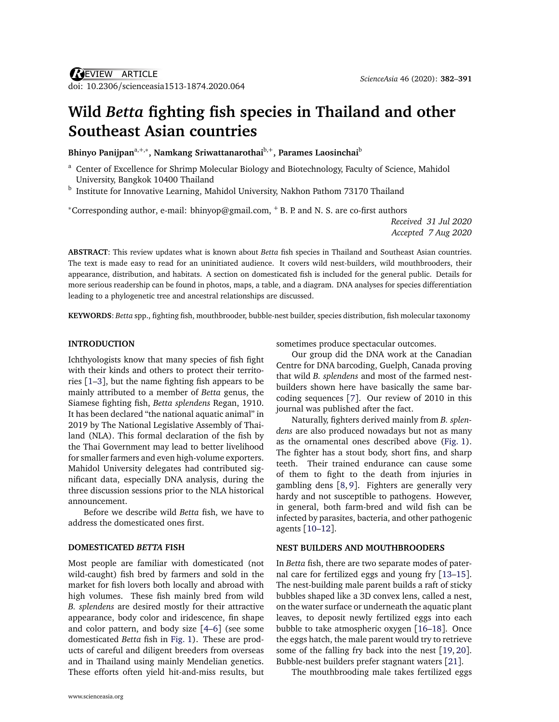# **Wild** *Betta* **fighting fish species in Thailand and other Southeast Asian countries**

**Bhinyo Panijpan**a,+,<sup>∗</sup> **, Namkang Sriwattanarothai**b,<sup>+</sup> **, Parames Laosinchai**<sup>b</sup>

<sup>a</sup> Center of Excellence for Shrimp Molecular Biology and Biotechnology, Faculty of Science, Mahidol University, Bangkok 10400 Thailand

<sup>b</sup> Institute for Innovative Learning, Mahidol University, Nakhon Pathom 73170 Thailand

<sup>∗</sup>Corresponding author, e-mail: [bhinyop@gmail.com,](mailto:bhinyop@gmail.com) <sup>+</sup> [B. P. and N. S. are co-first authors](mailto:$^+$\protect \kern +.1667em\relax B.~P.\ and N.~S.\ are co-first authors)

*Received 31 Jul 2020 Accepted 7 Aug 2020*

**ABSTRACT**: This review updates what is known about *Betta* fish species in Thailand and Southeast Asian countries. The text is made easy to read for an uninitiated audience. It covers wild nest-builders, wild mouthbrooders, their appearance, distribution, and habitats. A section on domesticated fish is included for the general public. Details for more serious readership can be found in photos, maps, a table, and a diagram. DNA analyses for species differentiation leading to a phylogenetic tree and ancestral relationships are discussed.

**KEYWORDS**: *Betta* spp., fighting fish, mouthbrooder, bubble-nest builder, species distribution, fish molecular taxonomy

#### **INTRODUCTION**

Ichthyologists know that many species of fish fight with their kinds and others to protect their territories [[1–](#page-8-0)[3](#page-8-1)], but the name fighting fish appears to be mainly attributed to a member of *Betta* genus, the Siamese fighting fish, *Betta splendens* Regan, 1910. It has been declared "the national aquatic animal" in 2019 by The National Legislative Assembly of Thailand (NLA). This formal declaration of the fish by the Thai Government may lead to better livelihood for smaller farmers and even high-volume exporters. Mahidol University delegates had contributed significant data, especially DNA analysis, during the three discussion sessions prior to the NLA historical announcement.

Before we describe wild *Betta* fish, we have to address the domesticated ones first.

### **DOMESTICATED** *BETTA* **FISH**

Most people are familiar with domesticated (not wild-caught) fish bred by farmers and sold in the market for fish lovers both locally and abroad with high volumes. These fish mainly bred from wild *B. splendens* are desired mostly for their attractive appearance, body color and iridescence, fin shape and color pattern, and body size [[4](#page-8-2)[–6](#page-8-3)] (see some domesticated *Betta* fish in [Fig. 1\)](#page-1-0). These are products of careful and diligent breeders from overseas and in Thailand using mainly Mendelian genetics. These efforts often yield hit-and-miss results, but sometimes produce spectacular outcomes.

Our group did the DNA work at the Canadian Centre for DNA barcoding, Guelph, Canada proving that wild *B. splendens* and most of the farmed nestbuilders shown here have basically the same barcoding sequences [[7](#page-8-4)]. Our review of 2010 in this journal was published after the fact.

Naturally, fighters derived mainly from *B. splendens* are also produced nowadays but not as many as the ornamental ones described above [\(Fig. 1\)](#page-1-0). The fighter has a stout body, short fins, and sharp teeth. Their trained endurance can cause some of them to fight to the death from injuries in gambling dens [[8,](#page-8-5) [9](#page-8-6)]. Fighters are generally very hardy and not susceptible to pathogens. However, in general, both farm-bred and wild fish can be infected by parasites, bacteria, and other pathogenic agents [[10–](#page-8-7)[12](#page-8-8)].

#### **NEST BUILDERS AND MOUTHBROODERS**

In *Betta* fish, there are two separate modes of paternal care for fertilized eggs and young fry [[13–](#page-8-9)[15](#page-8-10)]. The nest-building male parent builds a raft of sticky bubbles shaped like a 3D convex lens, called a nest, on the water surface or underneath the aquatic plant leaves, to deposit newly fertilized eggs into each bubble to take atmospheric oxygen [[16](#page-8-11)[–18](#page-8-12)]. Once the eggs hatch, the male parent would try to retrieve some of the falling fry back into the nest [[19,](#page-8-13) [20](#page-8-14)]. Bubble-nest builders prefer stagnant waters [[21](#page-8-15)].

The mouthbrooding male takes fertilized eggs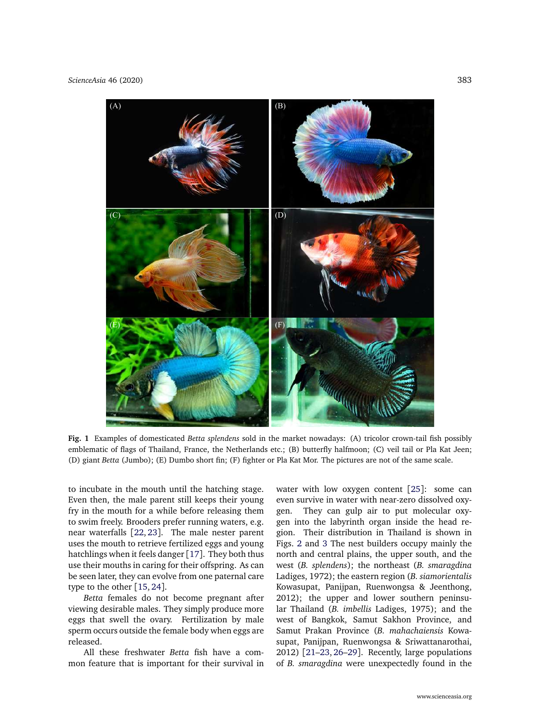<span id="page-1-0"></span>

**Fig. 1** Examples of domesticated *Betta splendens* sold in the market nowadays: (A) tricolor crown-tail fish possibly emblematic of flags of Thailand, France, the Netherlands etc.; (B) butterfly halfmoon; (C) veil tail or Pla Kat Jeen; (D) giant *Betta* (Jumbo); (E) Dumbo short fin; (F) fighter or Pla Kat Mor. The pictures are not of the same scale.

to incubate in the mouth until the hatching stage. Even then, the male parent still keeps their young fry in the mouth for a while before releasing them to swim freely. Brooders prefer running waters, e.g. near waterfalls [[22,](#page-8-16) [23](#page-8-17)]. The male nester parent uses the mouth to retrieve fertilized eggs and young hatchlings when it feels danger [[17](#page-8-18)]. They both thus use their mouths in caring for their offspring. As can be seen later, they can evolve from one paternal care type to the other [[15,](#page-8-10) [24](#page-8-19)].

*Betta* females do not become pregnant after viewing desirable males. They simply produce more eggs that swell the ovary. Fertilization by male sperm occurs outside the female body when eggs are released.

All these freshwater *Betta* fish have a common feature that is important for their survival in water with low oxygen content [[25](#page-8-20)]: some can even survive in water with near-zero dissolved oxygen. They can gulp air to put molecular oxygen into the labyrinth organ inside the head region. Their distribution in Thailand is shown in Figs. [2](#page-2-0) and [3](#page-3-0) The nest builders occupy mainly the north and central plains, the upper south, and the west (*B. splendens*); the northeast (*B. smaragdina* Ladiges, 1972); the eastern region (*B. siamorientalis* Kowasupat, Panijpan, Ruenwongsa & Jeenthong, 2012); the upper and lower southern peninsular Thailand (*B. imbellis* Ladiges, 1975); and the west of Bangkok, Samut Sakhon Province, and Samut Prakan Province (*B. mahachaiensis* Kowasupat, Panijpan, Ruenwongsa & Sriwattanarothai, 2012) [[21–](#page-8-15)[23,](#page-8-17) [26–](#page-8-21)[29](#page-8-22)]. Recently, large populations of *B. smaragdina* were unexpectedly found in the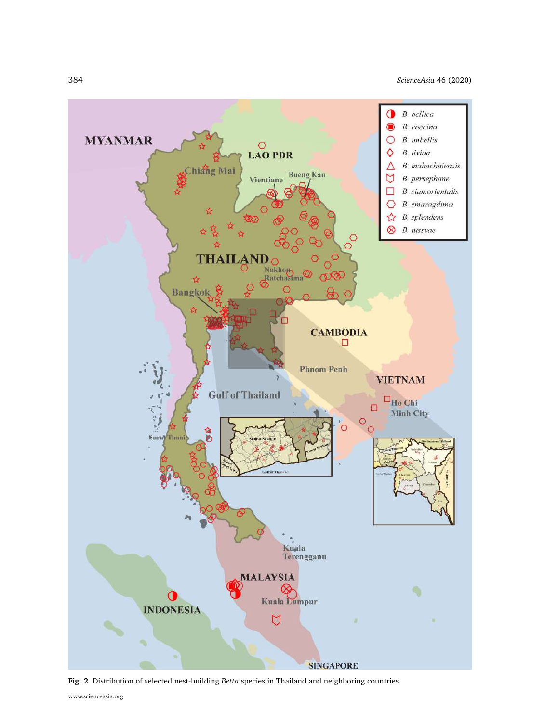384 *[ScienceAsia](http://www.scienceasia.org/)* 46 (2020)

<span id="page-2-0"></span>

**Fig. 2** Distribution of selected nest-building *Betta* species in Thailand and neighboring countries.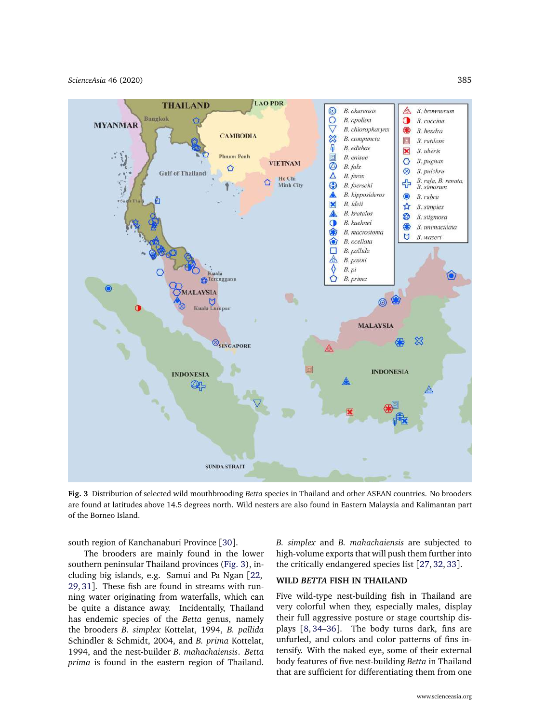<span id="page-3-0"></span>

**Fig. 3** Distribution of selected wild mouthbrooding *Betta* species in Thailand and other ASEAN countries. No brooders are found at latitudes above 14.5 degrees north. Wild nesters are also found in Eastern Malaysia and Kalimantan part of the Borneo Island.

south region of Kanchanaburi Province [[30](#page-9-0)].

The brooders are mainly found in the lower southern peninsular Thailand provinces [\(Fig. 3\)](#page-3-0), including big islands, e.g. Samui and Pa Ngan [[22,](#page-8-16) [29,](#page-8-22) [31](#page-9-1)]. These fish are found in streams with running water originating from waterfalls, which can be quite a distance away. Incidentally, Thailand has endemic species of the *Betta* genus, namely the brooders *B. simplex* Kottelat, 1994, *B. pallida* Schindler & Schmidt, 2004, and *B. prima* Kottelat, 1994, and the nest-builder *B. mahachaiensis*. *Betta prima* is found in the eastern region of Thailand. *B. simplex* and *B. mahachaiensis* are subjected to high-volume exports that will push them further into the critically endangered species list [[27,](#page-8-23) [32,](#page-9-2) [33](#page-9-3)].

### **WILD** *BETTA* **FISH IN THAILAND**

Five wild-type nest-building fish in Thailand are very colorful when they, especially males, display their full aggressive posture or stage courtship displays [[8,](#page-8-5) [34–](#page-9-4)[36](#page-9-5)]. The body turns dark, fins are unfurled, and colors and color patterns of fins intensify. With the naked eye, some of their external body features of five nest-building *Betta* in Thailand that are sufficient for differentiating them from one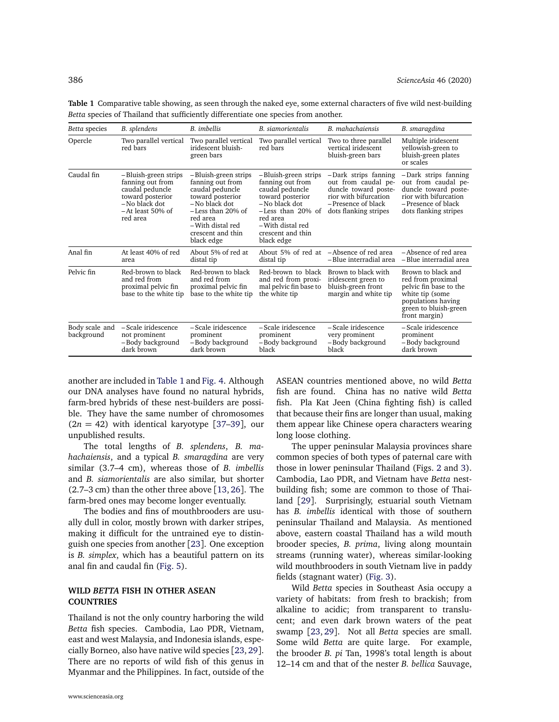| Betta species                | B. splendens                                                                                                                         | B. <i>imbellis</i>                                                                                                                                                                           | B. siamorientalis                                                                                                                                                                             | B. mahachaiensis                                                                                                                            | B. smaragdina                                                                                                                                        |
|------------------------------|--------------------------------------------------------------------------------------------------------------------------------------|----------------------------------------------------------------------------------------------------------------------------------------------------------------------------------------------|-----------------------------------------------------------------------------------------------------------------------------------------------------------------------------------------------|---------------------------------------------------------------------------------------------------------------------------------------------|------------------------------------------------------------------------------------------------------------------------------------------------------|
| Opercle                      | Two parallel vertical<br>red bars                                                                                                    | Two parallel vertical<br>iridescent bluish-<br>green bars                                                                                                                                    | Two parallel vertical<br>red bars                                                                                                                                                             | Two to three parallel<br>vertical iridescent<br>bluish-green bars                                                                           | Multiple iridescent<br>yellowish-green to<br>bluish-green plates<br>or scales                                                                        |
| Caudal fin                   | -Bluish-green strips<br>fanning out from<br>caudal peduncle<br>toward posterior<br>- No black dot<br>$-$ At least 50% of<br>red area | -Bluish-green strips<br>fanning out from<br>caudal peduncle<br>toward posterior<br>- No black dot<br>$-$ Less than 20% of<br>red area<br>-With distal red<br>crescent and thin<br>black edge | – Bluish-green strips<br>fanning out from<br>caudal peduncle<br>toward posterior<br>- No black dot<br>$-Less$ than 20% of<br>red area<br>– With distal red<br>crescent and thin<br>black edge | -Dark strips fanning<br>out from caudal pe-<br>duncle toward poste-<br>rior with bifurcation<br>-Presence of black<br>dots flanking stripes | -Dark strips fanning<br>out from caudal pe-<br>duncle toward poste-<br>rior with bifurcation<br>-Presence of black<br>dots flanking stripes          |
| Anal fin                     | At least 40% of red<br>area                                                                                                          | About 5% of red at<br>distal tip                                                                                                                                                             | distal tip                                                                                                                                                                                    | About 5% of red at -Absence of red area<br>-Blue interradial area                                                                           | - Absence of red area<br>-Blue interradial area                                                                                                      |
| Pelvic fin                   | Red-brown to black<br>and red from<br>proximal pelvic fin<br>base to the white tip                                                   | Red-brown to black<br>and red from<br>proximal pelvic fin<br>base to the white tip                                                                                                           | Red-brown to black<br>and red from proxi-<br>mal pelvic fin base to<br>the white tip                                                                                                          | Brown to black with<br>iridescent green to<br>bluish-green front<br>margin and white tip                                                    | Brown to black and<br>red from proximal<br>pelvic fin base to the<br>white tip (some<br>populations having<br>green to bluish-green<br>front margin) |
| Body scale and<br>background | -Scale iridescence<br>not prominent<br>-Body background<br>dark brown                                                                | - Scale iridescence<br>prominent<br>-Body background<br>dark brown                                                                                                                           | - Scale iridescence<br>prominent<br>– Body background<br>black                                                                                                                                | -Scale iridescence<br>very prominent<br>-Body background<br>black                                                                           | - Scale iridescence<br>prominent<br>– Body background<br>dark brown                                                                                  |

<span id="page-4-0"></span>**Table 1** Comparative table showing, as seen through the naked eye, some external characters of five wild nest-building *Betta* species of Thailand that sufficiently differentiate one species from another.

another are included in [Table 1](#page-4-0) and [Fig. 4.](#page-5-0) Although our DNA analyses have found no natural hybrids, farm-bred hybrids of these nest-builders are possible. They have the same number of chromosomes  $(2n = 42)$  with identical karyotype [37-[39](#page-9-7)], our unpublished results.

The total lengths of *B. splendens*, *B. mahachaiensis*, and a typical *B. smaragdina* are very similar (3.7–4 cm), whereas those of *B. imbellis* and *B. siamorientalis* are also similar, but shorter (2.7–3 cm) than the other three above [[13,](#page-8-9) [26](#page-8-21)]. The farm-bred ones may become longer eventually.

The bodies and fins of mouthbrooders are usually dull in color, mostly brown with darker stripes, making it difficult for the untrained eye to distinguish one species from another [[23](#page-8-17)]. One exception is *B. simplex*, which has a beautiful pattern on its anal fin and caudal fin [\(Fig. 5\)](#page-6-0).

#### **WILD** *BETTA* **FISH IN OTHER ASEAN COUNTRIES**

Thailand is not the only country harboring the wild *Betta* fish species. Cambodia, Lao PDR, Vietnam, east and west Malaysia, and Indonesia islands, especially Borneo, also have native wild species [[23,](#page-8-17) [29](#page-8-22)]. There are no reports of wild fish of this genus in Myanmar and the Philippines. In fact, outside of the

ASEAN countries mentioned above, no wild *Betta* fish are found. China has no native wild *Betta* fish. Pla Kat Jeen (China fighting fish) is called that because their fins are longer than usual, making them appear like Chinese opera characters wearing long loose clothing.

The upper peninsular Malaysia provinces share common species of both types of paternal care with those in lower peninsular Thailand (Figs. [2](#page-2-0) and [3\)](#page-3-0). Cambodia, Lao PDR, and Vietnam have *Betta* nestbuilding fish; some are common to those of Thailand [[29](#page-8-22)]. Surprisingly, estuarial south Vietnam has *B. imbellis* identical with those of southern peninsular Thailand and Malaysia. As mentioned above, eastern coastal Thailand has a wild mouth brooder species, *B. prima*, living along mountain streams (running water), whereas similar-looking wild mouthbrooders in south Vietnam live in paddy fields (stagnant water) [\(Fig. 3\)](#page-3-0).

Wild *Betta* species in Southeast Asia occupy a variety of habitats: from fresh to brackish; from alkaline to acidic; from transparent to translucent; and even dark brown waters of the peat swamp [[23,](#page-8-17) [29](#page-8-22)]. Not all *Betta* species are small. Some wild *Betta* are quite large. For example, the brooder *B. pi* Tan, 1998's total length is about 12–14 cm and that of the nester *B. bellica* Sauvage,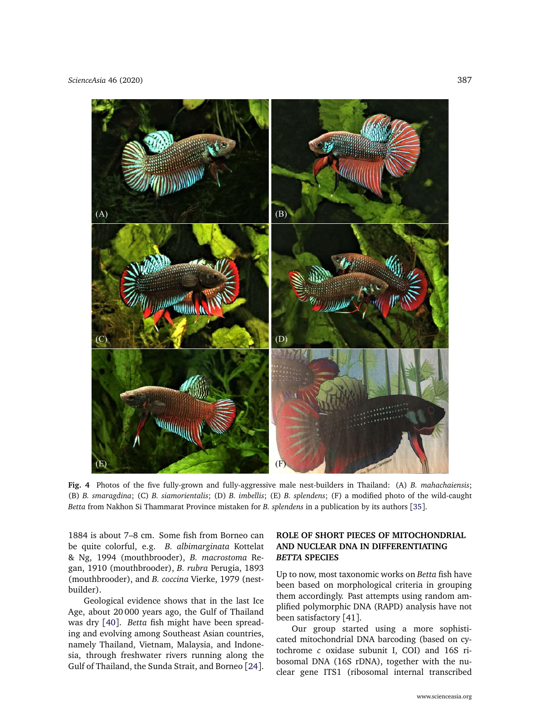<span id="page-5-0"></span>

**Fig. 4** Photos of the five fully-grown and fully-aggressive male nest-builders in Thailand: (A) *B. mahachaiensis*; (B) *B. smaragdina*; (C) *B. siamorientalis*; (D) *B. imbellis*; (E) *B. splendens*; (F) a modified photo of the wild-caught *Betta* from Nakhon Si Thammarat Province mistaken for *B. splendens* in a publication by its authors [[35](#page-9-8)].

1884 is about 7–8 cm. Some fish from Borneo can be quite colorful, e.g. *B. albimarginata* Kottelat & Ng, 1994 (mouthbrooder), *B. macrostoma* Regan, 1910 (mouthbrooder), *B. rubra* Perugia, 1893 (mouthbrooder), and *B. coccina* Vierke, 1979 (nestbuilder).

Geological evidence shows that in the last Ice Age, about 20 000 years ago, the Gulf of Thailand was dry [[40](#page-9-9)]. *Betta* fish might have been spreading and evolving among Southeast Asian countries, namely Thailand, Vietnam, Malaysia, and Indonesia, through freshwater rivers running along the Gulf of Thailand, the Sunda Strait, and Borneo [[24](#page-8-19)].

# **ROLE OF SHORT PIECES OF MITOCHONDRIAL AND NUCLEAR DNA IN DIFFERENTIATING** *BETTA* **SPECIES**

Up to now, most taxonomic works on *Betta* fish have been based on morphological criteria in grouping them accordingly. Past attempts using random amplified polymorphic DNA (RAPD) analysis have not been satisfactory [41].

Our group started using a more sophisticated mitochondrial DNA barcoding (based on cytochrome *c* oxidase subunit I, COI) and 16S ribosomal DNA (16S rDNA), together with the nuclear gene ITS1 (ribosomal internal transcribed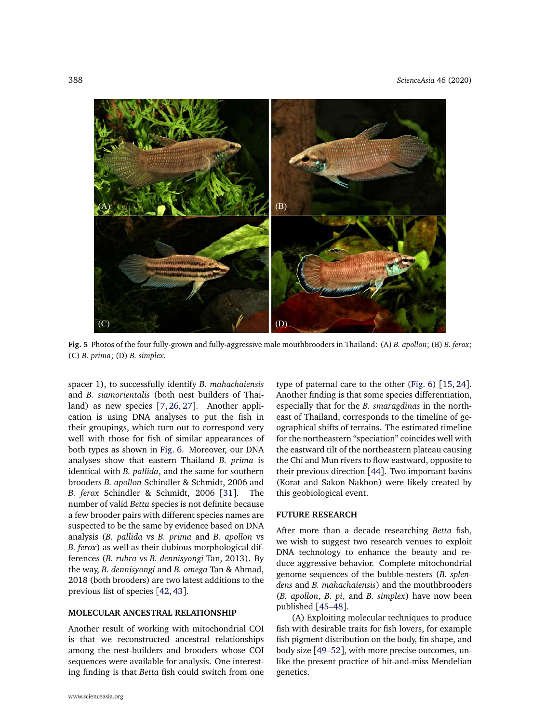<span id="page-6-0"></span>

**Fig. 5** Photos of the four fully-grown and fully-aggressive male mouthbrooders in Thailand: (A) *B. apollon*; (B) *B. ferox*; (C) *B. prima*; (D) *B. simplex*.

spacer 1), to successfully identify *B. mahachaiensis* and *B. siamorientalis* (both nest builders of Thailand) as new species [[7,](#page-8-4) [26,](#page-8-21) [27](#page-8-23)]. Another application is using DNA analyses to put the fish in their groupings, which turn out to correspond very well with those for fish of similar appearances of both types as shown in [Fig. 6.](#page-7-0) Moreover, our DNA analyses show that eastern Thailand *B. prima* is identical with *B. pallida*, and the same for southern brooders *B. apollon* Schindler & Schmidt, 2006 and *B. ferox* Schindler & Schmidt, 2006 [[31](#page-9-1)]. The number of valid *Betta* species is not definite because a few brooder pairs with different species names are suspected to be the same by evidence based on DNA analysis (*B. pallida* vs *B. prima* and *B. apollon* vs *B. ferox*) as well as their dubious morphological differences (*B. rubra* vs *B. dennisyongi* Tan, 2013). By the way, *B. dennisyongi* and *B. omega* Tan & Ahmad, 2018 (both brooders) are two latest additions to the previous list of species [[42,](#page-9-10) [43](#page-9-11)].

### **MOLECULAR ANCESTRAL RELATIONSHIP**

Another result of working with mitochondrial COI is that we reconstructed ancestral relationships among the nest-builders and brooders whose COI sequences were available for analysis. One interesting finding is that *Betta* fish could switch from one

type of paternal care to the other [\(Fig. 6\)](#page-7-0) [[15,](#page-8-10) [24](#page-8-19)]. Another finding is that some species differentiation, especially that for the *B. smaragdinas* in the northeast of Thailand, corresponds to the timeline of geographical shifts of terrains. The estimated timeline for the northeastern "speciation" coincides well with the eastward tilt of the northeastern plateau causing the Chi and Mun rivers to flow eastward, opposite to their previous direction [[44](#page-9-12)]. Two important basins (Korat and Sakon Nakhon) were likely created by this geobiological event.

#### **FUTURE RESEARCH**

After more than a decade researching *Betta* fish, we wish to suggest two research venues to exploit DNA technology to enhance the beauty and reduce aggressive behavior. Complete mitochondrial genome sequences of the bubble-nesters (*B. splendens* and *B. mahachaiensis*) and the mouthbrooders (*B. apollon*, *B. pi*, and *B. simplex*) have now been published [[45](#page-9-13)[–48](#page-9-14)].

(A) Exploiting molecular techniques to produce fish with desirable traits for fish lovers, for example fish pigment distribution on the body, fin shape, and body size [[49–](#page-9-15)[52](#page-9-16)], with more precise outcomes, unlike the present practice of hit-and-miss Mendelian genetics.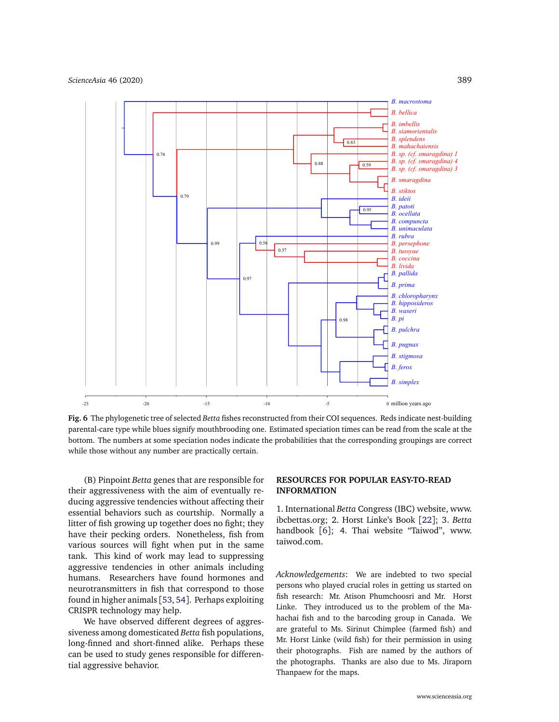<span id="page-7-0"></span>

**Fig. 6** The phylogenetic tree of selected *Betta* fishes reconstructed from their COI sequences. Reds indicate nest-building parental-care type while blues signify mouthbrooding one. Estimated speciation times can be read from the scale at the bottom. The numbers at some speciation nodes indicate the probabilities that the corresponding groupings are correct while those without any number are practically certain.

(B) Pinpoint *Betta* genes that are responsible for their aggressiveness with the aim of eventually reducing aggressive tendencies without affecting their essential behaviors such as courtship. Normally a litter of fish growing up together does no fight; they have their pecking orders. Nonetheless, fish from various sources will fight when put in the same tank. This kind of work may lead to suppressing aggressive tendencies in other animals including humans. Researchers have found hormones and neurotransmitters in fish that correspond to those found in higher animals [[53,](#page-9-17) [54](#page-9-18)]. Perhaps exploiting CRISPR technology may help.

We have observed different degrees of aggressiveness among domesticated *Betta* fish populations, long-finned and short-finned alike. Perhaps these can be used to study genes responsible for differential aggressive behavior.

## **RESOURCES FOR POPULAR EASY-TO-READ INFORMATION**

1. International *Betta* Congress (IBC) website, [www.](www.ibcbettas.org) [ibcbettas.org;](www.ibcbettas.org) 2. Horst Linke's Book [[22](#page-8-16)]; 3. *Betta* handbook [[6](#page-8-3)]; 4. Thai website "Taiwod", [www.](www.taiwod.com) [taiwod.com.](www.taiwod.com)

*Acknowledgements*: We are indebted to two special persons who played crucial roles in getting us started on fish research: Mr. Atison Phumchoosri and Mr. Horst Linke. They introduced us to the problem of the Mahachai fish and to the barcoding group in Canada. We are grateful to Ms. Sirinut Chimplee (farmed fish) and Mr. Horst Linke (wild fish) for their permission in using their photographs. Fish are named by the authors of the photographs. Thanks are also due to Ms. Jiraporn Thanpaew for the maps.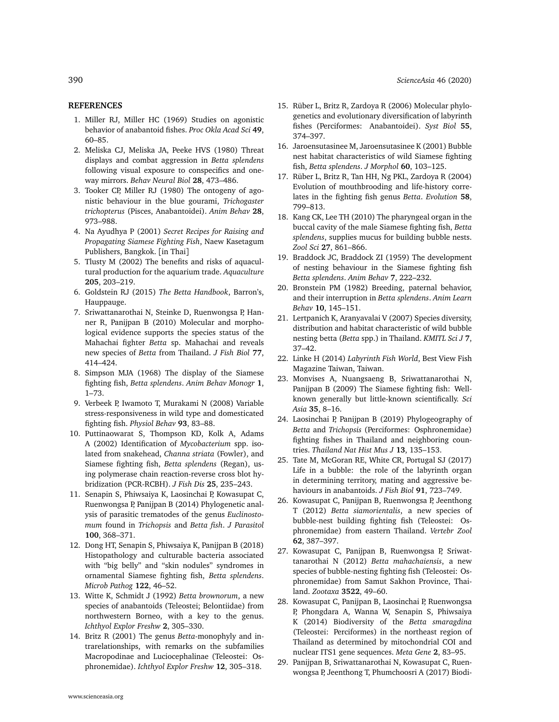### **REFERENCES**

- <span id="page-8-0"></span>1. Miller RJ, Miller HC (1969) Studies on agonistic behavior of anabantoid fishes. *Proc Okla Acad Sci* **49**, 60–85.
- 2. [Meliska CJ, Meliska JA, Peeke HVS \(1980\) Threat](http://dx.doi.org/10.1016/S0163-1047(80)91842-7) [displays and combat aggression in](http://dx.doi.org/10.1016/S0163-1047(80)91842-7) *Betta splendens* [following visual exposure to conspecifics and one](http://dx.doi.org/10.1016/S0163-1047(80)91842-7)way mirrors. *[Behav Neural Biol](http://dx.doi.org/10.1016/S0163-1047(80)91842-7)* **28**, 473–486.
- <span id="page-8-1"></span>3. [Tooker CP, Miller RJ \(1980\) The ontogeny of ago](http://dx.doi.org/10.1016/S0003-3472(80)80086-8)[nistic behaviour in the blue gourami,](http://dx.doi.org/10.1016/S0003-3472(80)80086-8) *Trichogaster trichopterus* [\(Pisces, Anabantoidei\).](http://dx.doi.org/10.1016/S0003-3472(80)80086-8) *Anim Behav* **28**, [973–988.](http://dx.doi.org/10.1016/S0003-3472(80)80086-8)
- <span id="page-8-2"></span>4. Na Ayudhya P (2001) *Secret Recipes for Raising and Propagating Siamese Fighting Fish*, Naew Kasetagum Publishers, Bangkok. [in Thai]
- 5. [Tlusty M \(2002\) The benefits and risks of aquacul](http://dx.doi.org/10.1016/S0044-8486(01)00683-4)[tural production for the aquarium trade.](http://dx.doi.org/10.1016/S0044-8486(01)00683-4) *Aquaculture* **205**[, 203–219.](http://dx.doi.org/10.1016/S0044-8486(01)00683-4)
- <span id="page-8-3"></span>6. Goldstein RJ (2015) *The Betta Handbook*, Barron's, Hauppauge.
- <span id="page-8-4"></span>7. [Sriwattanarothai N, Steinke D, Ruenwongsa P, Han](http://dx.doi.org/10.1111/j.1095-8649.2010.02715.x)[ner R, Panijpan B \(2010\) Molecular and morpho](http://dx.doi.org/10.1111/j.1095-8649.2010.02715.x)[logical evidence supports the species status of the](http://dx.doi.org/10.1111/j.1095-8649.2010.02715.x) Mahachai fighter *Betta* [sp. Mahachai and reveals](http://dx.doi.org/10.1111/j.1095-8649.2010.02715.x) new species of *Betta* [from Thailand.](http://dx.doi.org/10.1111/j.1095-8649.2010.02715.x) *J Fish Biol* **77**, [414–424.](http://dx.doi.org/10.1111/j.1095-8649.2010.02715.x)
- <span id="page-8-5"></span>8. [Simpson MJA \(1968\) The display of the Siamese](http://dx.doi.org/10.1016/S0066-1856(68)80001-9) fighting fish, *Betta splendens*. *[Anim Behav Monogr](http://dx.doi.org/10.1016/S0066-1856(68)80001-9)* **1**, [1–73.](http://dx.doi.org/10.1016/S0066-1856(68)80001-9)
- <span id="page-8-6"></span>9. [Verbeek P, Iwamoto T, Murakami N \(2008\) Variable](http://dx.doi.org/10.1016/j.physbeh.2007.08.008) [stress-responsiveness in wild type and domesticated](http://dx.doi.org/10.1016/j.physbeh.2007.08.008) fighting fish. *[Physiol Behav](http://dx.doi.org/10.1016/j.physbeh.2007.08.008)* **93**, 83–88.
- <span id="page-8-7"></span>10. [Puttinaowarat S, Thompson KD, Kolk A, Adams](http://dx.doi.org/10.1046/j.1365-2761.2002.00363.x) [A \(2002\) Identification of](http://dx.doi.org/10.1046/j.1365-2761.2002.00363.x) *Mycobacterium* spp. iso[lated from snakehead,](http://dx.doi.org/10.1046/j.1365-2761.2002.00363.x) *Channa striata* (Fowler), and [Siamese fighting fish,](http://dx.doi.org/10.1046/j.1365-2761.2002.00363.x) *Betta splendens* (Regan), us[ing polymerase chain reaction-reverse cross blot hy](http://dx.doi.org/10.1046/j.1365-2761.2002.00363.x)[bridization \(PCR-RCBH\).](http://dx.doi.org/10.1046/j.1365-2761.2002.00363.x) *J Fish Dis* **25**, 235–243.
- 11. [Senapin S, Phiwsaiya K, Laosinchai P, Kowasupat C,](http://dx.doi.org/10.1645/13-285.1) [Ruenwongsa P, Panijpan B \(2014\) Phylogenetic anal](http://dx.doi.org/10.1645/13-285.1)[ysis of parasitic trematodes of the genus](http://dx.doi.org/10.1645/13-285.1) *Euclinostomum* found in *Trichopsis* and *Betta fish*. *[J Parasitol](http://dx.doi.org/10.1645/13-285.1)* **100**[, 368–371.](http://dx.doi.org/10.1645/13-285.1)
- <span id="page-8-8"></span>12. [Dong HT, Senapin S, Phiwsaiya K, Panijpan B \(2018\)](http://dx.doi.org/10.1016/j.micpath.2018.06.005) [Histopathology and culturable bacteria associated](http://dx.doi.org/10.1016/j.micpath.2018.06.005) [with "big belly" and "skin nodules" syndromes in](http://dx.doi.org/10.1016/j.micpath.2018.06.005) [ornamental Siamese fighting fish,](http://dx.doi.org/10.1016/j.micpath.2018.06.005) *Betta splendens*. *[Microb Pathog](http://dx.doi.org/10.1016/j.micpath.2018.06.005)* **122**, 46–52.
- <span id="page-8-9"></span>13. Witte K, Schmidt J (1992) *Betta brownorum*, a new species of anabantoids (Teleostei; Belontiidae) from northwestern Borneo, with a key to the genus. *Ichthyol Explor Freshw* **2**, 305–330.
- 14. Britz R (2001) The genus *Betta*-monophyly and intrarelationships, with remarks on the subfamilies Macropodinae and Luciocephalinae (Teleostei: Osphronemidae). *Ichthyol Explor Freshw* **12**, 305–318.
- <span id="page-8-10"></span>15. [Rüber L, Britz R, Zardoya R \(2006\) Molecular phylo](http://dx.doi.org/10.1080/10635150500541664)[genetics and evolutionary diversification of labyrinth](http://dx.doi.org/10.1080/10635150500541664) [fishes \(Perciformes: Anabantoidei\).](http://dx.doi.org/10.1080/10635150500541664) *Syst Biol* **55**, [374–397.](http://dx.doi.org/10.1080/10635150500541664)
- <span id="page-8-11"></span>16. Jaroensutasinee M, Jaroensutasinee K (2001) Bubble nest habitat characteristics of wild Siamese fighting fish, *Betta splendens*. *J Morphol* **60**, 103–125.
- <span id="page-8-18"></span>17. [Rüber L, Britz R, Tan HH, Ng PKL, Zardoya R \(2004\)](http://dx.doi.org/10.1111/j.0014-3820.2004.tb00413.x) [Evolution of mouthbrooding and life-history corre](http://dx.doi.org/10.1111/j.0014-3820.2004.tb00413.x)[lates in the fighting fish genus](http://dx.doi.org/10.1111/j.0014-3820.2004.tb00413.x) *Betta*. *Evolution* **58**, [799–813.](http://dx.doi.org/10.1111/j.0014-3820.2004.tb00413.x)
- <span id="page-8-12"></span>18. [Kang CK, Lee TH \(2010\) The pharyngeal organ in the](http://dx.doi.org/10.2108/zsj.27.861) [buccal cavity of the male Siamese fighting fish,](http://dx.doi.org/10.2108/zsj.27.861) *Betta splendens*[, supplies mucus for building bubble nests.](http://dx.doi.org/10.2108/zsj.27.861) *Zool Sci* **27**[, 861–866.](http://dx.doi.org/10.2108/zsj.27.861)
- <span id="page-8-13"></span>19. [Braddock JC, Braddock ZI \(1959\) The development](http://dx.doi.org/10.1016/0003-3472(59)90012-0) [of nesting behaviour in the Siamese fighting fish](http://dx.doi.org/10.1016/0003-3472(59)90012-0) *[Betta splendens](http://dx.doi.org/10.1016/0003-3472(59)90012-0)*. *Anim Behav* **7**, 222–232.
- <span id="page-8-14"></span>20. [Bronstein PM \(1982\) Breeding, paternal behavior,](http://dx.doi.org/10.3758/BF03212262) [and their interruption in](http://dx.doi.org/10.3758/BF03212262) *Betta splendens*. *Anim Learn Behav* **10**[, 145–151.](http://dx.doi.org/10.3758/BF03212262)
- <span id="page-8-15"></span>21. Lertpanich K, Aranyavalai V (2007) Species diversity, distribution and habitat characteristic of wild bubble nesting betta (*Betta* spp.) in Thailand. *KMITL Sci J* **7**, 37–42.
- <span id="page-8-16"></span>22. Linke H (2014) *Labyrinth Fish World*, Best View Fish Magazine Taiwan, Taiwan.
- <span id="page-8-17"></span>23. [Monvises A, Nuangsaeng B, Sriwattanarothai N,](http://dx.doi.org/10.2306/scienceasia1513-1874.2009.35.008) [Panijpan B \(2009\) The Siamese fighting fish: Well](http://dx.doi.org/10.2306/scienceasia1513-1874.2009.35.008)[known generally but little-known scientifically.](http://dx.doi.org/10.2306/scienceasia1513-1874.2009.35.008) *Sci Asia* **35**[, 8–16.](http://dx.doi.org/10.2306/scienceasia1513-1874.2009.35.008)
- <span id="page-8-19"></span>24. Laosinchai P, Panijpan B (2019) Phylogeography of *Betta* and *Trichopsis* (Perciformes: Osphronemidae) fighting fishes in Thailand and neighboring countries. *Thailand Nat Hist Mus J* **13**, 135–153.
- <span id="page-8-20"></span>25. [Tate M, McGoran RE, White CR, Portugal SJ \(2017\)](http://dx.doi.org/10.1111/jfb.13357) [Life in a bubble: the role of the labyrinth organ](http://dx.doi.org/10.1111/jfb.13357) [in determining territory, mating and aggressive be](http://dx.doi.org/10.1111/jfb.13357)[haviours in anabantoids.](http://dx.doi.org/10.1111/jfb.13357) *J Fish Biol* **91**, 723–749.
- <span id="page-8-21"></span>26. Kowasupat C, Panijpan B, Ruenwongsa P, Jeenthong T (2012) *Betta siamorientalis*, a new species of bubble-nest building fighting fish (Teleostei: Osphronemidae) from eastern Thailand. *Vertebr Zool* **62**, 387–397.
- <span id="page-8-23"></span>27. [Kowasupat C, Panijpan B, Ruenwongsa P, Sriwat](http://dx.doi.org/10.11646/zootaxa.3522.1.3)[tanarothai N \(2012\)](http://dx.doi.org/10.11646/zootaxa.3522.1.3) *Betta mahachaiensis*, a new [species of bubble-nesting fighting fish \(Teleostei: Os](http://dx.doi.org/10.11646/zootaxa.3522.1.3)[phronemidae\) from Samut Sakhon Province, Thai](http://dx.doi.org/10.11646/zootaxa.3522.1.3)land. *Zootaxa* **3522**[, 49–60.](http://dx.doi.org/10.11646/zootaxa.3522.1.3)
- 28. [Kowasupat C, Panijpan B, Laosinchai P, Ruenwongsa](http://dx.doi.org/10.1016/j.mgene.2013.12.004) [P, Phongdara A, Wanna W, Senapin S, Phiwsaiya](http://dx.doi.org/10.1016/j.mgene.2013.12.004) [K \(2014\) Biodiversity of the](http://dx.doi.org/10.1016/j.mgene.2013.12.004) *Betta smaragdina* [\(Teleostei: Perciformes\) in the northeast region of](http://dx.doi.org/10.1016/j.mgene.2013.12.004) [Thailand as determined by mitochondrial COI and](http://dx.doi.org/10.1016/j.mgene.2013.12.004) [nuclear ITS1 gene sequences.](http://dx.doi.org/10.1016/j.mgene.2013.12.004) *Meta Gene* **2**, 83–95.
- <span id="page-8-22"></span>29. Panijpan B, Sriwattanarothai N, Kowasupat C, Ruenwongsa P, Jeenthong T, Phumchoosri A (2017) Biodi-